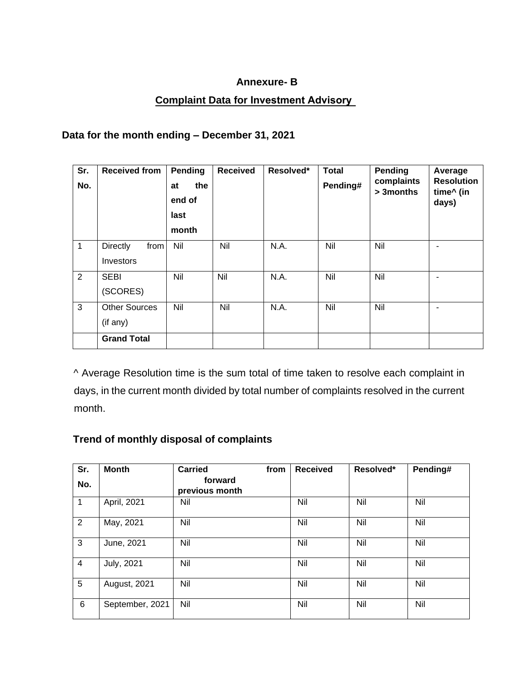#### **Annexure- B**

### **Complaint Data for Investment Advisory**

### **Data for the month ending – December 31, 2021**

| Sr.<br>No.     | <b>Received from</b>                 | Pending<br>the<br>at<br>end of<br>last<br>month | <b>Received</b> | Resolved* | <b>Total</b><br>Pending# | <b>Pending</b><br>complaints<br>> 3 months | Average<br><b>Resolution</b><br>time^ (in<br>days) |
|----------------|--------------------------------------|-------------------------------------------------|-----------------|-----------|--------------------------|--------------------------------------------|----------------------------------------------------|
| $\mathbf{1}$   | <b>Directly</b><br>from<br>Investors | Nil                                             | Nil             | N.A.      | Nil                      | Nil                                        | ۰                                                  |
| $\overline{2}$ | <b>SEBI</b><br>(SCORES)              | Nil                                             | Nil             | N.A.      | Nil                      | Nil                                        | ٠                                                  |
| 3              | <b>Other Sources</b><br>(if any)     | Nil                                             | Nil             | N.A.      | Nil                      | Nil                                        | ٠                                                  |
|                | <b>Grand Total</b>                   |                                                 |                 |           |                          |                                            |                                                    |

^ Average Resolution time is the sum total of time taken to resolve each complaint in days, in the current month divided by total number of complaints resolved in the current month.

## **Trend of monthly disposal of complaints**

| Sr. | <b>Month</b>    | <b>Carried</b><br>from    | <b>Received</b> | Resolved* | Pending# |
|-----|-----------------|---------------------------|-----------------|-----------|----------|
| No. |                 | forward<br>previous month |                 |           |          |
| 1   | April, 2021     | Nil                       | Nil             | Nil       | Nil      |
| 2   | May, 2021       | Nil                       | Nil             | Nil       | Nil      |
| 3   | June, 2021      | Nil                       | Nil             | Nil       | Nil      |
| 4   | July, 2021      | Nil                       | Nil             | Nil       | Nil      |
| 5   | August, 2021    | Nil                       | Nil             | Nil       | Nil      |
| 6   | September, 2021 | Nil                       | Nil             | Nil       | Nil      |